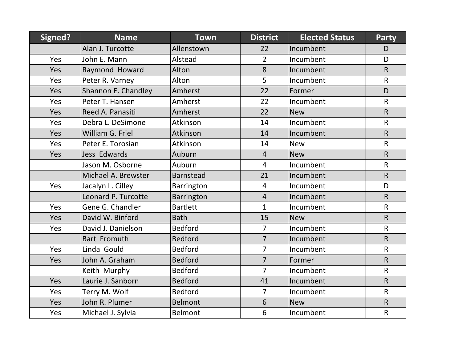| Signed? | <b>Name</b>         | <b>Town</b>      | <b>District</b> | <b>Elected Status</b> | <b>Party</b> |
|---------|---------------------|------------------|-----------------|-----------------------|--------------|
|         | Alan J. Turcotte    | Allenstown       | 22              | Incumbent             | D            |
| Yes     | John E. Mann        | Alstead          | $\overline{2}$  | Incumbent             | D            |
| Yes     | Raymond Howard      | Alton            | 8               | Incumbent             | $\mathsf{R}$ |
| Yes     | Peter R. Varney     | Alton            | 5               | Incumbent             | $\mathsf{R}$ |
| Yes     | Shannon E. Chandley | Amherst          | 22              | Former                | D            |
| Yes     | Peter T. Hansen     | Amherst          | 22              | Incumbent             | $\mathsf{R}$ |
| Yes     | Reed A. Panasiti    | Amherst          | 22              | <b>New</b>            | $\mathsf{R}$ |
| Yes     | Debra L. DeSimone   | Atkinson         | 14              | Incumbent             | $\mathsf{R}$ |
| Yes     | William G. Friel    | Atkinson         | 14              | Incumbent             | R.           |
| Yes     | Peter E. Torosian   | Atkinson         | 14              | <b>New</b>            | $\mathsf{R}$ |
| Yes     | Jess Edwards        | Auburn           | $\overline{4}$  | <b>New</b>            | $\mathsf{R}$ |
|         | Jason M. Osborne    | Auburn           | $\overline{4}$  | Incumbent             | $\mathsf{R}$ |
|         | Michael A. Brewster | <b>Barnstead</b> | 21              | Incumbent             | $\mathsf{R}$ |
| Yes     | Jacalyn L. Cilley   | Barrington       | $\overline{4}$  | Incumbent             | D            |
|         | Leonard P. Turcotte | Barrington       | $\overline{4}$  | Incumbent             | $\mathsf{R}$ |
| Yes     | Gene G. Chandler    | <b>Bartlett</b>  | $\mathbf{1}$    | Incumbent             | $\mathsf{R}$ |
| Yes     | David W. Binford    | <b>Bath</b>      | 15              | <b>New</b>            | $\mathsf{R}$ |
| Yes     | David J. Danielson  | <b>Bedford</b>   | $\overline{7}$  | Incumbent             | $\mathsf{R}$ |
|         | Bart Fromuth        | <b>Bedford</b>   | $\overline{7}$  | Incumbent             | $\mathsf{R}$ |
| Yes     | Linda Gould         | <b>Bedford</b>   | $\overline{7}$  | Incumbent             | $\mathsf{R}$ |
| Yes     | John A. Graham      | <b>Bedford</b>   | $\overline{7}$  | Former                | $\mathsf{R}$ |
|         | Keith Murphy        | <b>Bedford</b>   | $\overline{7}$  | Incumbent             | $\mathsf{R}$ |
| Yes     | Laurie J. Sanborn   | <b>Bedford</b>   | 41              | Incumbent             | $\mathsf{R}$ |
| Yes     | Terry M. Wolf       | <b>Bedford</b>   | $\overline{7}$  | Incumbent             | $\mathsf{R}$ |
| Yes     | John R. Plumer      | <b>Belmont</b>   | 6               | <b>New</b>            | $\mathsf{R}$ |
| Yes     | Michael J. Sylvia   | Belmont          | 6               | Incumbent             | $\mathsf{R}$ |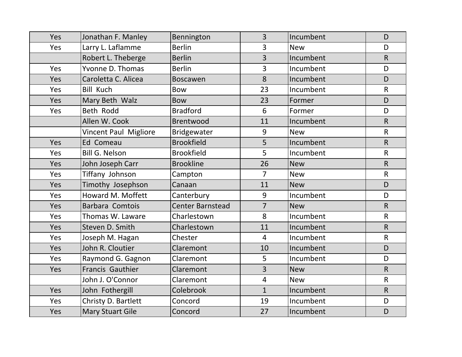| Yes | Jonathan F. Manley           | Bennington              | $\overline{3}$ | Incumbent  | D            |
|-----|------------------------------|-------------------------|----------------|------------|--------------|
| Yes | Larry L. Laflamme            | <b>Berlin</b>           | $\overline{3}$ | <b>New</b> | D            |
|     | Robert L. Theberge           | <b>Berlin</b>           | $\overline{3}$ | Incumbent  | $\mathsf{R}$ |
| Yes | Yvonne D. Thomas             | <b>Berlin</b>           | $\overline{3}$ | Incumbent  | D            |
| Yes | Caroletta C. Alicea          | <b>Boscawen</b>         | 8              | Incumbent  | D            |
| Yes | <b>Bill Kuch</b>             | <b>Bow</b>              | 23             | Incumbent  | $\mathsf{R}$ |
| Yes | Mary Beth Walz               | <b>Bow</b>              | 23             | Former     | D            |
| Yes | Beth Rodd                    | <b>Bradford</b>         | 6              | Former     | D            |
|     | Allen W. Cook                | Brentwood               | 11             | Incumbent  | $\mathsf{R}$ |
|     | <b>Vincent Paul Migliore</b> | Bridgewater             | 9              | <b>New</b> | $\mathsf R$  |
| Yes | Ed Comeau                    | <b>Brookfield</b>       | 5              | Incumbent  | $\mathsf{R}$ |
| Yes | <b>Bill G. Nelson</b>        | <b>Brookfield</b>       | 5              | Incumbent  | $\mathsf R$  |
| Yes | John Joseph Carr             | <b>Brookline</b>        | 26             | <b>New</b> | $\mathsf{R}$ |
| Yes | Tiffany Johnson              | Campton                 | $\overline{7}$ | <b>New</b> | $\mathsf{R}$ |
| Yes | Timothy Josephson            | Canaan                  | 11             | <b>New</b> | D            |
| Yes | Howard M. Moffett            | Canterbury              | 9              | Incumbent  | D            |
| Yes | Barbara Comtois              | <b>Center Barnstead</b> | $\overline{7}$ | <b>New</b> | $\mathsf{R}$ |
| Yes | Thomas W. Laware             | Charlestown             | 8              | Incumbent  | $\mathsf R$  |
| Yes | Steven D. Smith              | Charlestown             | 11             | Incumbent  | $\mathsf{R}$ |
| Yes | Joseph M. Hagan              | Chester                 | $\overline{4}$ | Incumbent  | $\mathsf{R}$ |
| Yes | John R. Cloutier             | Claremont               | 10             | Incumbent  | D            |
| Yes | Raymond G. Gagnon            | Claremont               | 5              | Incumbent  | D            |
| Yes | Francis Gauthier             | Claremont               | 3              | <b>New</b> | R            |
|     | John J. O'Connor             | Claremont               | $\overline{4}$ | <b>New</b> | $\mathsf{R}$ |
| Yes | John Fothergill              | Colebrook               | $\mathbf{1}$   | Incumbent  | $\mathsf{R}$ |
| Yes | Christy D. Bartlett          | Concord                 | 19             | Incumbent  | D            |
| Yes | <b>Mary Stuart Gile</b>      | Concord                 | 27             | Incumbent  | D            |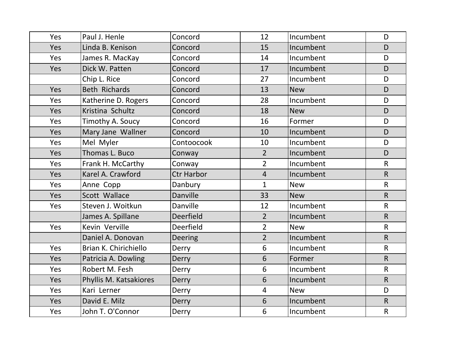| Yes | Paul J. Henle          | Concord           | 12             | Incumbent  | D            |
|-----|------------------------|-------------------|----------------|------------|--------------|
| Yes | Linda B. Kenison       | Concord           | 15             | Incumbent  | D            |
| Yes | James R. MacKay        | Concord           | 14             | Incumbent  | D            |
| Yes | Dick W. Patten         | Concord           | 17             | Incumbent  | D            |
|     | Chip L. Rice           | Concord           | 27             | Incumbent  | D            |
| Yes | <b>Beth Richards</b>   | Concord           | 13             | <b>New</b> | D            |
| Yes | Katherine D. Rogers    | Concord           | 28             | Incumbent  | D            |
| Yes | Kristina Schultz       | Concord           | 18             | <b>New</b> | D            |
| Yes | Timothy A. Soucy       | Concord           | 16             | Former     | D            |
| Yes | Mary Jane Wallner      | Concord           | 10             | Incumbent  | D            |
| Yes | Mel Myler              | Contoocook        | 10             | Incumbent  | D            |
| Yes | Thomas L. Buco         | Conway            | 2 <sup>1</sup> | Incumbent  | D            |
| Yes | Frank H. McCarthy      | Conway            | $\overline{2}$ | Incumbent  | $\mathsf{R}$ |
| Yes | Karel A. Crawford      | <b>Ctr Harbor</b> | $\overline{4}$ | Incumbent  | $\mathsf{R}$ |
| Yes | Anne Copp              | Danbury           | $\mathbf{1}$   | <b>New</b> | $\mathsf{R}$ |
| Yes | Scott Wallace          | Danville          | 33             | <b>New</b> | $\mathsf{R}$ |
| Yes | Steven J. Woitkun      | Danville          | 12             | Incumbent  | $\mathsf{R}$ |
|     | James A. Spillane      | Deerfield         | $\overline{2}$ | Incumbent  | $\mathsf R$  |
| Yes | Kevin Verville         | Deerfield         | $\overline{2}$ | <b>New</b> | $\mathsf{R}$ |
|     | Daniel A. Donovan      | <b>Deering</b>    | $\overline{2}$ | Incumbent  | $\mathsf{R}$ |
| Yes | Brian K. Chirichiello  | Derry             | 6              | Incumbent  | $\mathsf R$  |
| Yes | Patricia A. Dowling    | Derry             | 6              | Former     | $\mathsf{R}$ |
| Yes | Robert M. Fesh         | Derry             | 6              | Incumbent  | $\mathsf{R}$ |
| Yes | Phyllis M. Katsakiores | Derry             | 6              | Incumbent  | $\mathsf{R}$ |
| Yes | Kari Lerner            | Derry             | $\overline{4}$ | <b>New</b> | D            |
| Yes | David E. Milz          | Derry             | 6              | Incumbent  | $\mathsf{R}$ |
| Yes | John T. O'Connor       | Derry             | $6\phantom{1}$ | Incumbent  | $\mathsf{R}$ |
|     |                        |                   |                |            |              |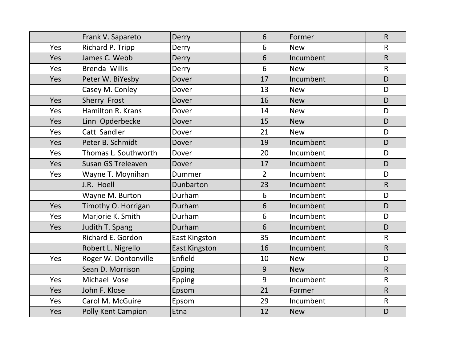|     | Frank V. Sapareto        | Derry                | 6              | Former     | $\mathsf{R}$ |
|-----|--------------------------|----------------------|----------------|------------|--------------|
| Yes | Richard P. Tripp         | Derry                | 6              | <b>New</b> | $\mathsf{R}$ |
| Yes | James C. Webb            | Derry                | 6              | Incumbent  | $\mathsf{R}$ |
| Yes | Brenda Willis            | Derry                | 6              | <b>New</b> | $\mathsf R$  |
| Yes | Peter W. BiYesby         | Dover                | 17             | Incumbent  | D            |
|     | Casey M. Conley          | Dover                | 13             | <b>New</b> | D            |
| Yes | Sherry Frost             | Dover                | 16             | <b>New</b> | D            |
| Yes | <b>Hamilton R. Krans</b> | Dover                | 14             | <b>New</b> | D            |
| Yes | Linn Opderbecke          | Dover                | 15             | <b>New</b> | D            |
| Yes | Catt Sandler             | Dover                | 21             | <b>New</b> | D            |
| Yes | Peter B. Schmidt         | Dover                | 19             | Incumbent  | D            |
| Yes | Thomas L. Southworth     | Dover                | 20             | Incumbent  | D            |
| Yes | Susan GS Treleaven       | Dover                | 17             | Incumbent  | D            |
| Yes | Wayne T. Moynihan        | Dummer               | $\overline{2}$ | Incumbent  | D            |
|     | J.R. Hoell               | Dunbarton            | 23             | Incumbent  | $\mathsf{R}$ |
|     | Wayne M. Burton          | Durham               | 6              | Incumbent  | D            |
| Yes | Timothy O. Horrigan      | Durham               | 6              | Incumbent  | D            |
| Yes | Marjorie K. Smith        | Durham               | 6              | Incumbent  | D            |
| Yes | Judith T. Spang          | Durham               | 6              | Incumbent  | D            |
|     | Richard E. Gordon        | <b>East Kingston</b> | 35             | Incumbent  | $\mathsf{R}$ |
|     | Robert L. Nigrello       | <b>East Kingston</b> | 16             | Incumbent  | $\mathsf{R}$ |
| Yes | Roger W. Dontonville     | Enfield              | 10             | <b>New</b> | D            |
|     | Sean D. Morrison         | <b>Epping</b>        | 9              | <b>New</b> | R            |
| Yes | Michael Vose             | <b>Epping</b>        | 9              | Incumbent  | $\mathsf{R}$ |
| Yes | John F. Klose            | Epsom                | 21             | Former     | $\mathsf{R}$ |
| Yes | Carol M. McGuire         | Epsom                | 29             | Incumbent  | $\mathsf{R}$ |
| Yes | Polly Kent Campion       | Etna                 | 12             | <b>New</b> | D            |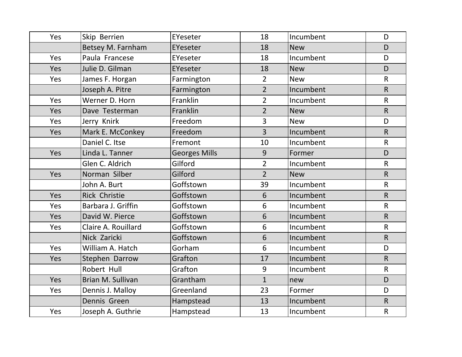| Yes | Skip Berrien         | EYeseter             | 18             | Incumbent  | D            |
|-----|----------------------|----------------------|----------------|------------|--------------|
|     | Betsey M. Farnham    | EYeseter             | 18             | <b>New</b> | D            |
| Yes | Paula Francese       | EYeseter             | 18             | Incumbent  | D            |
| Yes | Julie D. Gilman      | EYeseter             | 18             | <b>New</b> | D.           |
| Yes | James F. Horgan      | Farmington           | $\overline{2}$ | <b>New</b> | $\mathsf{R}$ |
|     | Joseph A. Pitre      | Farmington           | $\overline{2}$ | Incumbent  | $\mathsf{R}$ |
| Yes | Werner D. Horn       | Franklin             | $\overline{2}$ | Incumbent  | $\mathsf{R}$ |
| Yes | Dave Testerman       | Franklin             | $\overline{2}$ | <b>New</b> | $\mathsf{R}$ |
| Yes | Jerry Knirk          | Freedom              | $\overline{3}$ | <b>New</b> | D            |
| Yes | Mark E. McConkey     | Freedom              | $\overline{3}$ | Incumbent  | $\mathsf{R}$ |
|     | Daniel C. Itse       | Fremont              | 10             | Incumbent  | $\mathsf{R}$ |
| Yes | Linda L. Tanner      | <b>Georges Mills</b> | 9              | Former     | D.           |
|     | Glen C. Aldrich      | Gilford              | $\overline{2}$ | Incumbent  | $\mathsf{R}$ |
| Yes | Norman Silber        | Gilford              | $\overline{2}$ | <b>New</b> | R            |
|     | John A. Burt         | Goffstown            | 39             | Incumbent  | $\mathsf{R}$ |
| Yes | <b>Rick Christie</b> | Goffstown            | 6              | Incumbent  | R            |
| Yes | Barbara J. Griffin   | Goffstown            | 6              | Incumbent  | $\mathsf{R}$ |
| Yes | David W. Pierce      | Goffstown            | 6              | Incumbent  | $\mathsf R$  |
| Yes | Claire A. Rouillard  | Goffstown            | 6              | Incumbent  | $\mathsf{R}$ |
|     | Nick Zaricki         | Goffstown            | 6              | Incumbent  | $\mathsf{R}$ |
| Yes | William A. Hatch     | Gorham               | 6              | Incumbent  | D            |
| Yes | Stephen Darrow       | Grafton              | 17             | Incumbent  | R            |
|     | Robert Hull          | Grafton              | 9              | Incumbent  | $\mathsf{R}$ |
| Yes | Brian M. Sullivan    | Grantham             | $\mathbf{1}$   | new        | D            |
| Yes | Dennis J. Malloy     | Greenland            | 23             | Former     | D            |
|     | Dennis Green         | Hampstead            | 13             | Incumbent  | $\mathsf{R}$ |
| Yes | Joseph A. Guthrie    | Hampstead            | 13             | Incumbent  | $\mathsf{R}$ |
|     |                      |                      |                |            |              |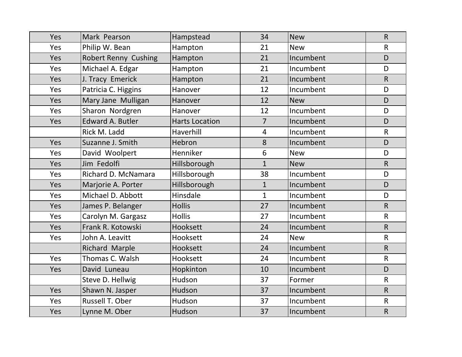| Yes | Mark Pearson                | Hampstead             | 34             | <b>New</b> | $\mathsf{R}$ |
|-----|-----------------------------|-----------------------|----------------|------------|--------------|
| Yes | Philip W. Bean              | Hampton               | 21             | <b>New</b> | $\mathsf{R}$ |
| Yes | <b>Robert Renny Cushing</b> | Hampton               | 21             | Incumbent  | D            |
| Yes | Michael A. Edgar            | Hampton               | 21             | Incumbent  | D            |
| Yes | J. Tracy Emerick            | Hampton               | 21             | Incumbent  | $\mathsf{R}$ |
| Yes | Patricia C. Higgins         | Hanover               | 12             | Incumbent  | D            |
| Yes | Mary Jane Mulligan          | Hanover               | 12             | <b>New</b> | D            |
| Yes | Sharon Nordgren             | Hanover               | 12             | Incumbent  | D            |
| Yes | <b>Edward A. Butler</b>     | <b>Harts Location</b> | $\overline{7}$ | Incumbent  | D            |
|     | Rick M. Ladd                | Haverhill             | $\overline{4}$ | Incumbent  | $\mathsf{R}$ |
| Yes | Suzanne J. Smith            | Hebron                | 8              | Incumbent  | D            |
| Yes | David Woolpert              | Henniker              | $6\phantom{1}$ | <b>New</b> | D            |
| Yes | Jim Fedolfi                 | Hillsborough          | $\mathbf{1}$   | <b>New</b> | $\mathsf{R}$ |
| Yes | Richard D. McNamara         | Hillsborough          | 38             | Incumbent  | D            |
| Yes | Marjorie A. Porter          | Hillsborough          | $\mathbf{1}$   | Incumbent  | D            |
| Yes | Michael D. Abbott           | Hinsdale              | $\mathbf{1}$   | Incumbent  | D            |
| Yes | James P. Belanger           | <b>Hollis</b>         | 27             | Incumbent  | R            |
| Yes | Carolyn M. Gargasz          | <b>Hollis</b>         | 27             | Incumbent  | $\mathsf{R}$ |
| Yes | Frank R. Kotowski           | Hooksett              | 24             | Incumbent  | $\mathsf{R}$ |
| Yes | John A. Leavitt             | Hooksett              | 24             | <b>New</b> | $\mathsf{R}$ |
|     | <b>Richard Marple</b>       | Hooksett              | 24             | Incumbent  | $\mathsf{R}$ |
| Yes | Thomas C. Walsh             | Hooksett              | 24             | Incumbent  | $\mathsf{R}$ |
| Yes | David Luneau                | Hopkinton             | 10             | Incumbent  | D            |
|     | Steve D. Hellwig            | Hudson                | 37             | Former     | $\mathsf{R}$ |
| Yes | Shawn N. Jasper             | Hudson                | 37             | Incumbent  | $\mathsf{R}$ |
| Yes | Russell T. Ober             | Hudson                | 37             | Incumbent  | $\mathsf{R}$ |
| Yes | Lynne M. Ober               | Hudson                | 37             | Incumbent  | $\mathsf{R}$ |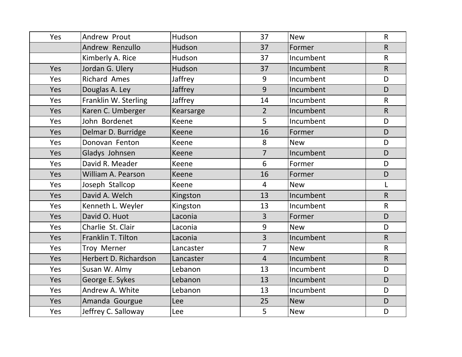| Yes        | Andrew Prout          | Hudson    | 37             | <b>New</b> | $\mathsf{R}$ |
|------------|-----------------------|-----------|----------------|------------|--------------|
|            | Andrew Renzullo       | Hudson    | 37             | Former     | $\mathsf{R}$ |
|            | Kimberly A. Rice      | Hudson    | 37             | Incumbent  | $\mathsf{R}$ |
| Yes        | Jordan G. Ulery       | Hudson    | 37             | Incumbent  | R            |
| Yes        | <b>Richard Ames</b>   | Jaffrey   | 9              | Incumbent  | D            |
| Yes        | Douglas A. Ley        | Jaffrey   | 9              | Incumbent  | D            |
| Yes        | Franklin W. Sterling  | Jaffrey   | 14             | Incumbent  | $\mathsf{R}$ |
| Yes        | Karen C. Umberger     | Kearsarge | $\overline{2}$ | Incumbent  | $\mathsf{R}$ |
| Yes        | John Bordenet         | Keene     | 5              | Incumbent  | D            |
| Yes        | Delmar D. Burridge    | Keene     | 16             | Former     | D            |
| Yes        | Donovan Fenton        | Keene     | 8              | <b>New</b> | D            |
| Yes        | Gladys Johnsen        | Keene     | $\overline{7}$ | Incumbent  | D            |
| Yes        | David R. Meader       | Keene     | 6              | Former     | D            |
| Yes        | William A. Pearson    | Keene     | 16             | Former     | D            |
| Yes        | Joseph Stallcop       | Keene     | 4              | <b>New</b> | Г            |
| Yes        | David A. Welch        | Kingston  | 13             | Incumbent  | $\mathsf R$  |
| Yes        | Kenneth L. Weyler     | Kingston  | 13             | Incumbent  | $\mathsf{R}$ |
| <b>Yes</b> | David O. Huot         | Laconia   | $\overline{3}$ | Former     | D            |
| <b>Yes</b> | Charlie St. Clair     | Laconia   | 9              | <b>New</b> | D            |
| Yes        | Franklin T. Tilton    | Laconia   | $\overline{3}$ | Incumbent  | $\mathsf{R}$ |
| Yes        | <b>Troy Merner</b>    | Lancaster | $\overline{7}$ | <b>New</b> | $\mathsf{R}$ |
| Yes        | Herbert D. Richardson | Lancaster | $\overline{4}$ | Incumbent  | $\mathsf{R}$ |
| Yes        | Susan W. Almy         | Lebanon   | 13             | Incumbent  | D            |
| Yes        | George E. Sykes       | Lebanon   | 13             | Incumbent  | D            |
| Yes        | Andrew A. White       | Lebanon   | 13             | Incumbent  | D            |
| <b>Yes</b> | Amanda Gourgue        | Lee       | 25             | <b>New</b> | D            |
| Yes        | Jeffrey C. Salloway   | Lee       | 5              | <b>New</b> | D            |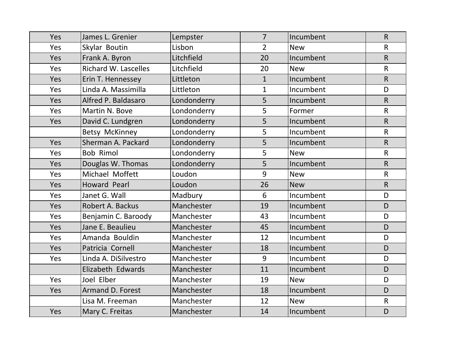| Yes        | James L. Grenier            | Lempster    | $\overline{7}$ | Incumbent  | $\mathsf{R}$   |
|------------|-----------------------------|-------------|----------------|------------|----------------|
| Yes        | Skylar Boutin               | Lisbon      | $\overline{2}$ | <b>New</b> | $\mathsf R$    |
| Yes        | Frank A. Byron              | Litchfield  | 20             | Incumbent  | $\mathsf{R}$   |
| Yes        | <b>Richard W. Lascelles</b> | Litchfield  | 20             | <b>New</b> | $\mathsf{R}$   |
| Yes        | Erin T. Hennessey           | Littleton   | $\mathbf{1}$   | Incumbent  | $\mathsf{R}$   |
| Yes        | Linda A. Massimilla         | Littleton   | $\mathbf{1}$   | Incumbent  | D              |
| Yes        | Alfred P. Baldasaro         | Londonderry | 5              | Incumbent  | $\mathsf{R}$   |
| Yes        | Martin N. Bove              | Londonderry | 5              | Former     | $\mathsf{R}$   |
| Yes        | David C. Lundgren           | Londonderry | 5              | Incumbent  | $\overline{R}$ |
|            | Betsy McKinney              | Londonderry | 5              | Incumbent  | $\mathsf R$    |
| Yes        | Sherman A. Packard          | Londonderry | 5              | Incumbent  | $\mathsf{R}$   |
| Yes        | <b>Bob Rimol</b>            | Londonderry | 5              | <b>New</b> | $\mathsf{R}$   |
| Yes        | Douglas W. Thomas           | Londonderry | 5              | Incumbent  | $\mathsf{R}$   |
| Yes        | Michael Moffett             | Loudon      | 9              | <b>New</b> | $\mathsf{R}$   |
| Yes        | Howard Pearl                | Loudon      | 26             | <b>New</b> | $\mathsf{R}$   |
| Yes        | Janet G. Wall               | Madbury     | 6              | Incumbent  | D              |
| Yes        | Robert A. Backus            | Manchester  | 19             | Incumbent  | D.             |
| Yes        | Benjamin C. Baroody         | Manchester  | 43             | Incumbent  | D              |
| Yes        | Jane E. Beaulieu            | Manchester  | 45             | Incumbent  | D              |
| Yes        | Amanda Bouldin              | Manchester  | 12             | Incumbent  | D              |
| Yes        | Patricia Cornell            | Manchester  | 18             | Incumbent  | D              |
| Yes        | Linda A. DiSilvestro        | Manchester  | 9              | Incumbent  | D              |
|            | Elizabeth Edwards           | Manchester  | 11             | Incumbent  | D              |
| Yes        | Joel Elber                  | Manchester  | 19             | <b>New</b> | D              |
| <b>Yes</b> | <b>Armand D. Forest</b>     | Manchester  | 18             | Incumbent  | D              |
|            | Lisa M. Freeman             | Manchester  | 12             | <b>New</b> | $\mathsf{R}$   |
| Yes        | Mary C. Freitas             | Manchester  | 14             | Incumbent  | D              |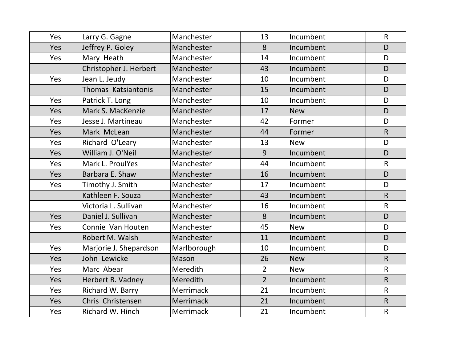| Yes | Larry G. Gagne         | Manchester  | 13             | Incumbent  | $\mathsf{R}$ |
|-----|------------------------|-------------|----------------|------------|--------------|
| Yes | Jeffrey P. Goley       | Manchester  | 8              | Incumbent  | D            |
| Yes | Mary Heath             | Manchester  | 14             | Incumbent  | D            |
|     | Christopher J. Herbert | Manchester  | 43             | Incumbent  | D.           |
| Yes | Jean L. Jeudy          | Manchester  | 10             | Incumbent  | D            |
|     | Thomas Katsiantonis    | Manchester  | 15             | Incumbent  | D            |
| Yes | Patrick T. Long        | Manchester  | 10             | Incumbent  | D            |
| Yes | Mark S. MacKenzie      | Manchester  | 17             | <b>New</b> | D            |
| Yes | Jesse J. Martineau     | Manchester  | 42             | Former     | D            |
| Yes | Mark McLean            | Manchester  | 44             | Former     | $\mathsf{R}$ |
| Yes | Richard O'Leary        | Manchester  | 13             | <b>New</b> | D            |
| Yes | William J. O'Neil      | Manchester  | 9              | Incumbent  | D            |
| Yes | Mark L. ProulYes       | Manchester  | 44             | Incumbent  | $\mathsf{R}$ |
| Yes | Barbara E. Shaw        | Manchester  | 16             | Incumbent  | D            |
| Yes | Timothy J. Smith       | Manchester  | 17             | Incumbent  | D            |
|     | Kathleen F. Souza      | Manchester  | 43             | Incumbent  | R            |
|     | Victoria L. Sullivan   | Manchester  | 16             | Incumbent  | $\mathsf{R}$ |
| Yes | Daniel J. Sullivan     | Manchester  | 8              | Incumbent  | D            |
| Yes | Connie Van Houten      | Manchester  | 45             | <b>New</b> | D            |
|     | Robert M. Walsh        | Manchester  | 11             | Incumbent  | D            |
| Yes | Marjorie J. Shepardson | Marlborough | 10             | Incumbent  | D            |
| Yes | John Lewicke           | Mason       | 26             | <b>New</b> | $\mathsf{R}$ |
| Yes | Marc Abear             | Meredith    | $\overline{2}$ | <b>New</b> | $\mathsf{R}$ |
| Yes | Herbert R. Vadney      | Meredith    | $\overline{2}$ | Incumbent  | $\mathsf{R}$ |
| Yes | Richard W. Barry       | Merrimack   | 21             | Incumbent  | $\mathsf{R}$ |
| Yes | Chris Christensen      | Merrimack   | 21             | Incumbent  | $\mathsf{R}$ |
| Yes | Richard W. Hinch       | Merrimack   | 21             | Incumbent  | $\mathsf{R}$ |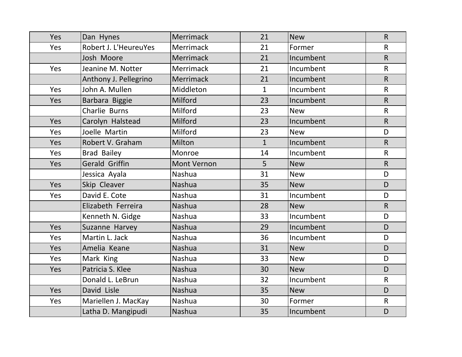| Yes | Dan Hynes             | Merrimack          | 21           | <b>New</b> | $\mathsf{R}$   |
|-----|-----------------------|--------------------|--------------|------------|----------------|
| Yes | Robert J. L'HeureuYes | <b>Merrimack</b>   | 21           | Former     | $\mathsf R$    |
|     | Josh Moore            | Merrimack          | 21           | Incumbent  | $\mathsf{R}$   |
| Yes | Jeanine M. Notter     | Merrimack          | 21           | Incumbent  | $\mathsf{R}$   |
|     | Anthony J. Pellegrino | Merrimack          | 21           | Incumbent  | $\mathsf{R}$   |
| Yes | John A. Mullen        | Middleton          | $\mathbf{1}$ | Incumbent  | $\mathsf R$    |
| Yes | Barbara Biggie        | Milford            | 23           | Incumbent  | $\mathsf{R}$   |
|     | Charlie Burns         | Milford            | 23           | <b>New</b> | $\mathsf{R}$   |
| Yes | Carolyn Halstead      | Milford            | 23           | Incumbent  | $\mathsf{R}$   |
| Yes | Joelle Martin         | Milford            | 23           | <b>New</b> | D              |
| Yes | Robert V. Graham      | Milton             | $\mathbf{1}$ | Incumbent  | $\overline{R}$ |
| Yes | <b>Brad Bailey</b>    | Monroe             | 14           | Incumbent  | $\mathsf{R}$   |
| Yes | Gerald Griffin        | <b>Mont Vernon</b> | 5            | <b>New</b> | $\mathsf{R}$   |
|     | Jessica Ayala         | Nashua             | 31           | <b>New</b> | D              |
| Yes | Skip Cleaver          | <b>Nashua</b>      | 35           | <b>New</b> | D              |
| Yes | David E. Cote         | Nashua             | 31           | Incumbent  | D              |
|     | Elizabeth Ferreira    | <b>Nashua</b>      | 28           | <b>New</b> | R              |
|     | Kenneth N. Gidge      | Nashua             | 33           | Incumbent  | D              |
| Yes | Suzanne Harvey        | <b>Nashua</b>      | 29           | Incumbent  | D              |
| Yes | Martin L. Jack        | Nashua             | 36           | Incumbent  | D              |
| Yes | Amelia Keane          | Nashua             | 31           | <b>New</b> | D              |
| Yes | Mark King             | Nashua             | 33           | <b>New</b> | D              |
| Yes | Patricia S. Klee      | <b>Nashua</b>      | 30           | <b>New</b> | D              |
|     | Donald L. LeBrun      | Nashua             | 32           | Incumbent  | $\mathsf{R}$   |
| Yes | David Lisle           | <b>Nashua</b>      | 35           | <b>New</b> | D              |
| Yes | Mariellen J. MacKay   | Nashua             | 30           | Former     | $\mathsf{R}$   |
|     | Latha D. Mangipudi    | Nashua             | 35           | Incumbent  | D              |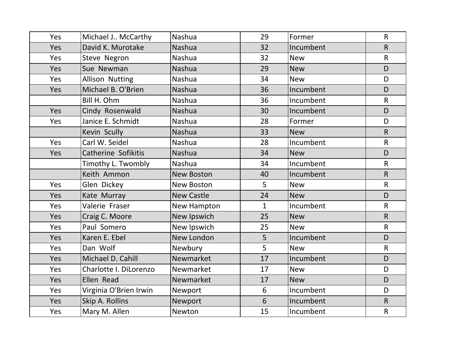| Yes        | Michael J McCarthy         | Nashua            | 29           | Former     | $\mathsf{R}$ |
|------------|----------------------------|-------------------|--------------|------------|--------------|
| Yes        | David K. Murotake          | Nashua            | 32           | Incumbent  | $\mathsf{R}$ |
| Yes        | Steve Negron               | Nashua            | 32           | <b>New</b> | $\mathsf{R}$ |
| Yes        | Sue Newman                 | <b>Nashua</b>     | 29           | <b>New</b> | D            |
| Yes        | <b>Allison Nutting</b>     | <b>Nashua</b>     | 34           | <b>New</b> | D            |
| Yes        | Michael B. O'Brien         | Nashua            | 36           | Incumbent  | D            |
|            | Bill H. Ohm                | Nashua            | 36           | Incumbent  | $\mathsf{R}$ |
| Yes        | Cindy Rosenwald            | Nashua            | 30           | Incumbent  | D            |
| Yes        | Janice E. Schmidt          | Nashua            | 28           | Former     | D            |
|            | Kevin Scully               | <b>Nashua</b>     | 33           | <b>New</b> | $\mathsf{R}$ |
| Yes        | Carl W. Seidel             | <b>Nashua</b>     | 28           | Incumbent  | $\mathsf{R}$ |
| Yes        | <b>Catherine Sofikitis</b> | Nashua            | 34           | <b>New</b> | D            |
|            | Timothy L. Twombly         | <b>Nashua</b>     | 34           | Incumbent  | $\mathsf{R}$ |
|            | Keith Ammon                | <b>New Boston</b> | 40           | Incumbent  | $\mathsf{R}$ |
| Yes        | Glen Dickey                | New Boston        | 5            | <b>New</b> | $\mathsf{R}$ |
| Yes        | Kate Murray                | <b>New Castle</b> | 24           | <b>New</b> | D            |
| Yes        | Valerie Fraser             | New Hampton       | $\mathbf{1}$ | Incumbent  | $\mathsf{R}$ |
| Yes        | Craig C. Moore             | New Ipswich       | 25           | <b>New</b> | R            |
| Yes        | Paul Somero                | New Ipswich       | 25           | <b>New</b> | $\mathsf{R}$ |
| Yes        | Karen E. Ebel              | New London        | 5            | Incumbent  | D            |
| Yes        | Dan Wolf                   | Newbury           | 5            | <b>New</b> | $\mathsf{R}$ |
| Yes        | Michael D. Cahill          | Newmarket         | 17           | Incumbent  | D            |
| Yes        | Charlotte I. DiLorenzo     | Newmarket         | 17           | <b>New</b> | D            |
| Yes        | Ellen Read                 | Newmarket         | 17           | <b>New</b> | D            |
| Yes        | Virginia O'Brien Irwin     | Newport           | 6            | Incumbent  | D            |
| <b>Yes</b> | Skip A. Rollins            | Newport           | 6            | Incumbent  | $\mathsf{R}$ |
| Yes        | Mary M. Allen              | Newton            | 15           | Incumbent  | $\mathsf R$  |
|            |                            |                   |              |            |              |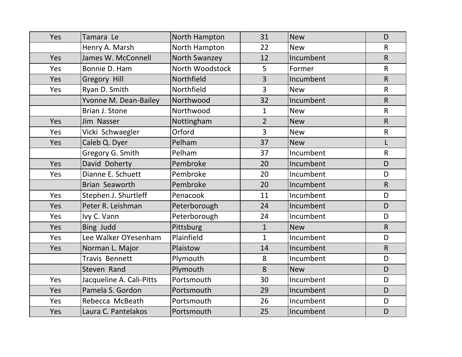| Yes | Tamara Le                | North Hampton   | 31             | <b>New</b> | D                       |
|-----|--------------------------|-----------------|----------------|------------|-------------------------|
|     | Henry A. Marsh           | North Hampton   | 22             | <b>New</b> | $\mathsf{R}$            |
| Yes | James W. McConnell       | North Swanzey   | 12             | Incumbent  | $\mathsf{R}$            |
| Yes | Bonnie D. Ham            | North Woodstock | 5              | Former     | $\mathsf{R}$            |
| Yes | Gregory Hill             | Northfield      | $\overline{3}$ | Incumbent  | $\overline{\mathsf{R}}$ |
| Yes | Ryan D. Smith            | Northfield      | $\overline{3}$ | <b>New</b> | $\mathsf{R}$            |
|     | Yvonne M. Dean-Bailey    | Northwood       | 32             | Incumbent  | $\mathsf{R}$            |
|     | Brian J. Stone           | Northwood       | $\mathbf{1}$   | <b>New</b> | $\mathsf{R}$            |
| Yes | Jim Nasser               | Nottingham      | $\overline{2}$ | <b>New</b> | $\mathsf{R}$            |
| Yes | Vicki Schwaegler         | Orford          | 3              | <b>New</b> | $\mathsf R$             |
| Yes | Caleb Q. Dyer            | Pelham          | 37             | <b>New</b> | L                       |
|     | Gregory G. Smith         | Pelham          | 37             | Incumbent  | $\mathsf{R}$            |
| Yes | David Doherty            | Pembroke        | 20             | Incumbent  | D                       |
| Yes | Dianne E. Schuett        | Pembroke        | 20             | Incumbent  | D                       |
|     | Brian Seaworth           | Pembroke        | 20             | Incumbent  | $\mathsf{R}$            |
| Yes | Stephen J. Shurtleff     | Penacook        | 11             | Incumbent  | D                       |
| Yes | Peter R. Leishman        | Peterborough    | 24             | Incumbent  | D.                      |
| Yes | Ivy C. Vann              | Peterborough    | 24             | Incumbent  | D                       |
| Yes | Bing Judd                | Pittsburg       | $\mathbf{1}$   | <b>New</b> | $\mathsf{R}$            |
| Yes | Lee Walker OYesenham     | Plainfield      | $\mathbf{1}$   | Incumbent  | D                       |
| Yes | Norman L. Major          | Plaistow        | 14             | Incumbent  | $\mathsf{R}$            |
|     | <b>Travis Bennett</b>    | Plymouth        | 8              | Incumbent  | D                       |
|     | Steven Rand              | Plymouth        | 8              | <b>New</b> | D                       |
| Yes | Jacqueline A. Cali-Pitts | Portsmouth      | 30             | Incumbent  | D                       |
| Yes | Pamela S. Gordon         | Portsmouth      | 29             | Incumbent  | D                       |
| Yes | Rebecca McBeath          | Portsmouth      | 26             | Incumbent  | D                       |
| Yes | Laura C. Pantelakos      | Portsmouth      | 25             | Incumbent  | D                       |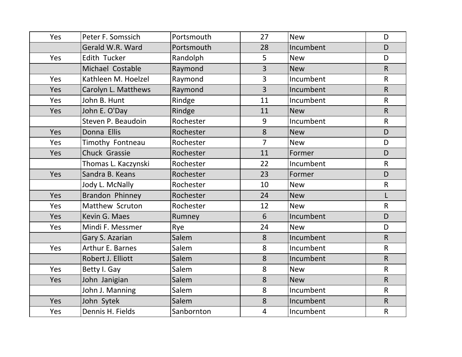| Yes        | Peter F. Somssich       | Portsmouth | 27             | <b>New</b> | D            |
|------------|-------------------------|------------|----------------|------------|--------------|
|            | Gerald W.R. Ward        | Portsmouth | 28             | Incumbent  | D            |
| Yes        | Edith Tucker            | Randolph   | 5              | <b>New</b> | D            |
|            | Michael Costable        | Raymond    | $\overline{3}$ | <b>New</b> | R            |
| Yes        | Kathleen M. Hoelzel     | Raymond    | $\overline{3}$ | Incumbent  | $\mathsf{R}$ |
| Yes        | Carolyn L. Matthews     | Raymond    | $\overline{3}$ | Incumbent  | $\mathsf{R}$ |
| Yes        | John B. Hunt            | Rindge     | 11             | Incumbent  | $\mathsf{R}$ |
| Yes        | John E. O'Day           | Rindge     | 11             | <b>New</b> | $\mathsf{R}$ |
|            | Steven P. Beaudoin      | Rochester  | 9              | Incumbent  | $\mathsf{R}$ |
| Yes        | Donna Ellis             | Rochester  | 8              | <b>New</b> | D            |
| Yes        | Timothy Fontneau        | Rochester  | $\overline{7}$ | <b>New</b> | D            |
| Yes        | Chuck Grassie           | Rochester  | 11             | Former     | D            |
|            | Thomas L. Kaczynski     | Rochester  | 22             | Incumbent  | $\mathsf{R}$ |
| Yes        | Sandra B. Keans         | Rochester  | 23             | Former     | D            |
|            | Jody L. McNally         | Rochester  | 10             | <b>New</b> | $\mathsf R$  |
| Yes        | Brandon Phinney         | Rochester  | 24             | <b>New</b> | L            |
| Yes        | Matthew Scruton         | Rochester  | 12             | <b>New</b> | $\mathsf{R}$ |
| <b>Yes</b> | Kevin G. Maes           | Rumney     | 6              | Incumbent  | D            |
| Yes        | Mindi F. Messmer        | Rye        | 24             | <b>New</b> | D            |
|            | Gary S. Azarian         | Salem      | 8              | Incumbent  | $\mathsf{R}$ |
| Yes        | <b>Arthur E. Barnes</b> | Salem      | 8              | Incumbent  | $\mathsf{R}$ |
|            | Robert J. Elliott       | Salem      | 8              | Incumbent  | $\mathsf{R}$ |
| Yes        | Betty I. Gay            | Salem      | 8              | <b>New</b> | $\mathsf{R}$ |
| Yes        | John Janigian           | Salem      | 8              | <b>New</b> | $\mathsf{R}$ |
|            | John J. Manning         | Salem      | 8              | Incumbent  | $\mathsf{R}$ |
| Yes        | John Sytek              | Salem      | 8              | Incumbent  | $\mathsf{R}$ |
| Yes        | Dennis H. Fields        | Sanbornton | $\overline{4}$ | Incumbent  | $\mathsf{R}$ |
|            |                         |            |                |            |              |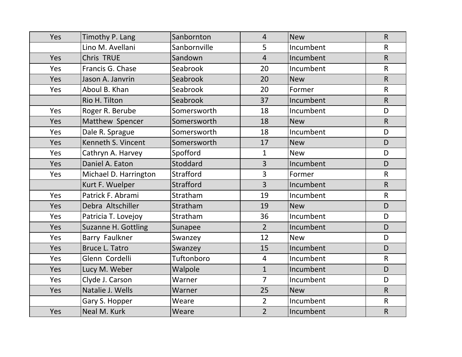| Yes | Timothy P. Lang       | Sanbornton       | $\overline{4}$ | <b>New</b> | $\mathsf{R}$ |
|-----|-----------------------|------------------|----------------|------------|--------------|
|     | Lino M. Avellani      | Sanbornville     | 5              | Incumbent  | $\mathsf{R}$ |
| Yes | <b>Chris TRUE</b>     | Sandown          | $\overline{4}$ | Incumbent  | $\mathsf{R}$ |
| Yes | Francis G. Chase      | Seabrook         | 20             | Incumbent  | $\mathsf{R}$ |
| Yes | Jason A. Janvrin      | Seabrook         | 20             | <b>New</b> | $\mathsf{R}$ |
| Yes | Aboul B. Khan         | Seabrook         | 20             | Former     | $\mathsf{R}$ |
|     | Rio H. Tilton         | Seabrook         | 37             | Incumbent  | $\mathsf{R}$ |
| Yes | Roger R. Berube       | Somersworth      | 18             | Incumbent  | D            |
| Yes | Matthew Spencer       | Somersworth      | 18             | <b>New</b> | R            |
| Yes | Dale R. Sprague       | Somersworth      | 18             | Incumbent  | D            |
| Yes | Kenneth S. Vincent    | Somersworth      | 17             | <b>New</b> | D            |
| Yes | Cathryn A. Harvey     | Spofford         | $\mathbf{1}$   | <b>New</b> | D            |
| Yes | Daniel A. Eaton       | Stoddard         | $\overline{3}$ | Incumbent  | D            |
| Yes | Michael D. Harrington | Strafford        | $\overline{3}$ | Former     | $\mathsf{R}$ |
|     | Kurt F. Wuelper       | <b>Strafford</b> | $\overline{3}$ | Incumbent  | $\mathsf{R}$ |
| Yes | Patrick F. Abrami     | Stratham         | 19             | Incumbent  | $\mathsf{R}$ |
| Yes | Debra Altschiller     | Stratham         | 19             | <b>New</b> | D            |
| Yes | Patricia T. Lovejoy   | Stratham         | 36             | Incumbent  | D            |
| Yes | Suzanne H. Gottling   | Sunapee          | 2 <sup>2</sup> | Incumbent  | D            |
| Yes | Barry Faulkner        | Swanzey          | 12             | <b>New</b> | D            |
| Yes | <b>Bruce L. Tatro</b> | Swanzey          | 15             | Incumbent  | D            |
| Yes | Glenn Cordelli        | Tuftonboro       | $\overline{4}$ | Incumbent  | $\mathsf{R}$ |
| Yes | Lucy M. Weber         | Walpole          | $\mathbf{1}$   | Incumbent  | D            |
| Yes | Clyde J. Carson       | Warner           | $\overline{7}$ | Incumbent  | D            |
| Yes | Natalie J. Wells      | Warner           | 25             | <b>New</b> | $\mathsf{R}$ |
|     | Gary S. Hopper        | Weare            | $\overline{2}$ | Incumbent  | $\mathsf{R}$ |
| Yes | Neal M. Kurk          | Weare            | $\overline{2}$ | Incumbent  | ${\sf R}$    |